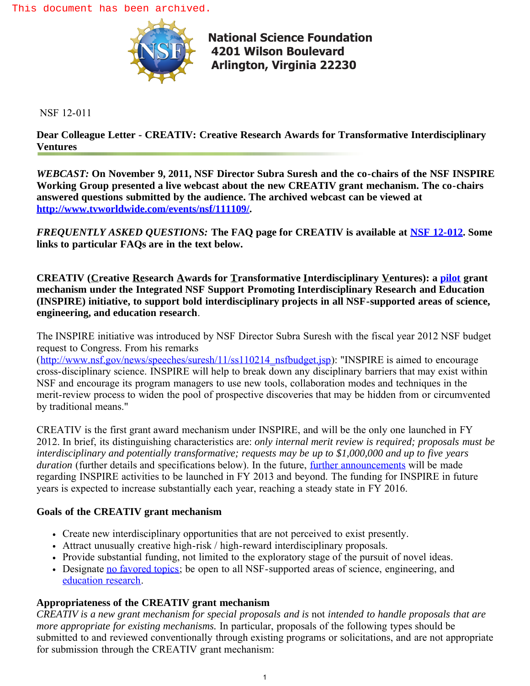

**[National Science Foundation](http://www.nsf.gov) 4201 Wilson Boulevard Arlington, Virginia 22230** 

NSF 12-011

**Dear Colleague Letter - CREATIV: Creative Research Awards for Transformative Interdisciplinary Ventures**

*WEBCAST:* **On November 9, 2011, NSF Director Subra Suresh and the co-chairs of the NSF INSPIRE Working Group presented a live webcast about the new CREATIV grant mechanism. The co-chairs answered questions submitted by the audience. The archived webcast can be viewed at [http://www.tvworldwide.com/events/nsf/111109/](http://www.nsf.gov/cgi-bin/goodbye?http://www.tvworldwide.com/events/nsf/111109/).**

*FREQUENTLY ASKED QUESTIONS:* **The FAQ page for CREATIV is available at [NSF 12-012.](http://www.nsf.gov/publications/pub_summ.jsp?ods_key=nsf12012) Some links to particular FAQs are in the text below.**

**CREATIV (Creative Research Awards for Transformative Interdisciplinary Ventures): a [pilot](http://www.nsf.gov/pubs/2012/nsf12012/nsf12012.jsp#iiao) grant mechanism under the Integrated NSF Support Promoting Interdisciplinary Research and Education (INSPIRE) initiative, to support bold interdisciplinary projects in all NSF-supported areas of science, engineering, and education research**.

The INSPIRE initiative was introduced by NSF Director Subra Suresh with the fiscal year 2012 NSF budget request to Congress. From his remarks

([http://www.nsf.gov/news/speeches/suresh/11/ss110214\\_nsfbudget.jsp\)](http://www.nsf.gov/news/speeches/suresh/11/ss110214_nsfbudget.jsp): "INSPIRE is aimed to encourage cross-disciplinary science. INSPIRE will help to break down any disciplinary barriers that may exist within NSF and encourage its program managers to use new tools, collaboration modes and techniques in the merit-review process to widen the pool of prospective discoveries that may be hidden from or circumvented by traditional means."

CREATIV is the first grant award mechanism under INSPIRE, and will be the only one launched in FY 2012. In brief, its distinguishing characteristics are: *only internal merit review is required; proposals must be interdisciplinary and potentially transformative; requests may be up to \$1,000,000 and up to five years duration* (further details and specifications below). In the future, [further announcements](http://www.nsf.gov/pubs/2012/nsf12012/nsf12012.jsp#iifi) will be made regarding INSPIRE activities to be launched in FY 2013 and beyond. The funding for INSPIRE in future years is expected to increase substantially each year, reaching a steady state in FY 2016.

## **Goals of the CREATIV grant mechanism**

- Create new interdisciplinary opportunities that are not perceived to exist presently.
- Attract unusually creative high-risk / high-reward interdisciplinary proposals.
- Provide substantial funding, not limited to the exploratory stage of the pursuit of novel ideas.
- Designate [no favored topics](http://www.nsf.gov/pubs/2012/nsf12012/nsf12012.jsp#dacp); be open to all NSF-supported areas of science, engineering, and [education research.](http://www.nsf.gov/pubs/2012/nsf12012/nsf12012.jsp#aepe)

# **Appropriateness of the CREATIV grant mechanism**

*CREATIV is a new grant mechanism for special proposals and is* not *intended to handle proposals that are more appropriate for existing mechanisms.* In particular, proposals of the following types should be submitted to and reviewed conventionally through existing programs or solicitations, and are not appropriate for submission through the CREATIV grant mechanism: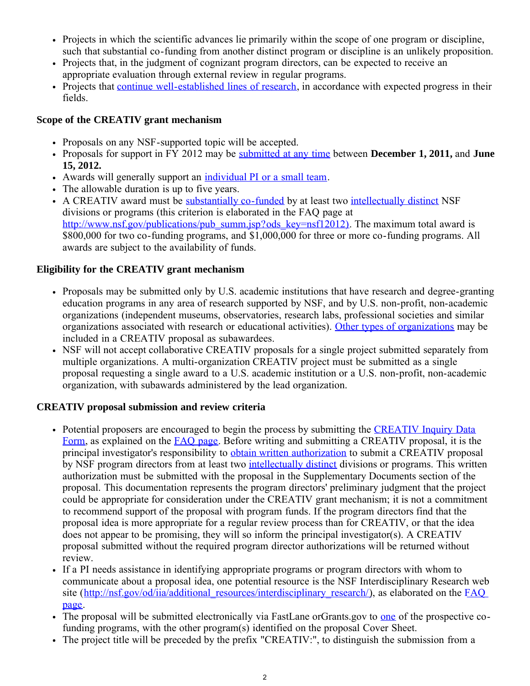- Projects in which the scientific advances lie primarily within the scope of one program or discipline, such that substantial co-funding from another distinct program or discipline is an unlikely proposition.
- Projects that, in the judgment of cognizant program directors, can be expected to receive an appropriate evaluation through external review in regular programs.
- Projects that [continue well-established lines of research,](http://www.nsf.gov/pubs/2012/nsf12012/nsf12012.jsp#ihaa) in accordance with expected progress in their fields.

## **Scope of the CREATIV grant mechanism**

- Proposals on any NSF-supported topic will be accepted.
- Proposals for support in FY 2012 may be [submitted at any time](http://www.nsf.gov/pubs/2012/nsf12012/nsf12012.jsp#itad) between **December 1, 2011,** and **June 15, 2012.**
- Awards will generally support an [individual PI or a small team.](http://www.nsf.gov/pubs/2012/nsf12012/nsf12012.jsp#ital)
- The allowable duration is up to five years.
- A CREATIV award must be [substantially co-funded](http://www.nsf.gov/pubs/2012/nsf12012/nsf12012.jsp#itsv) by at least two [intellectually distinct](http://www.nsf.gov/pubs/2012/nsf12012/nsf12012.jsp#tdcl) NSF divisions or programs (this criterion is elaborated in the FAQ page at [http://www.nsf.gov/publications/pub\\_summ.jsp?ods\\_key=nsf12012\).](http://www.nsf.gov/publications/pub_summ.jsp?ods_key=nsf12012) The maximum total award is \$800,000 for two co-funding programs, and \$1,000,000 for three or more co-funding programs. All awards are subject to the availability of funds.

# **Eligibility for the CREATIV grant mechanism**

- Proposals may be submitted only by U.S. academic institutions that have research and degree-granting education programs in any area of research supported by NSF, and by U.S. non-profit, non-academic organizations (independent museums, observatories, research labs, professional societies and similar organizations associated with research or educational activities). [Other types of organizations](http://www.nsf.gov/pubs/2012/nsf12012/nsf12012.jsp#iwaa) may be included in a CREATIV proposal as subawardees.
- NSF will not accept collaborative CREATIV proposals for a single project submitted separately from multiple organizations. A multi-organization CREATIV project must be submitted as a single proposal requesting a single award to a U.S. academic institution or a U.S. non-profit, non-academic organization, with subawards administered by the lead organization.

# **CREATIV proposal submission and review criteria**

- Potential proposers are encouraged to begin the process by submitting the [CREATIV Inquiry Data](http://www.nsf.gov/od/iia/creativ/inquiry.cfm) [Form](http://www.nsf.gov/od/iia/creativ/inquiry.cfm), as explained on the [FAQ page](http://www.nsf.gov/pubs/2012/nsf12012/nsf12012.jsp#ihai). Before writing and submitting a CREATIV proposal, it is the principal investigator's responsibility to [obtain written authorization](http://www.nsf.gov/pubs/2012/nsf12012/nsf12012.jsp#ihai) to submit a CREATIV proposal by NSF program directors from at least two [intellectually distinct](http://www.nsf.gov/pubs/2012/nsf12012/nsf12012.jsp#tdcl) divisions or programs. This written authorization must be submitted with the proposal in the Supplementary Documents section of the proposal. This documentation represents the program directors' preliminary judgment that the project could be appropriate for consideration under the CREATIV grant mechanism; it is not a commitment to recommend support of the proposal with program funds. If the program directors find that the proposal idea is more appropriate for a regular review process than for CREATIV, or that the idea does not appear to be promising, they will so inform the principal investigator(s). A CREATIV proposal submitted without the required program director authorizations will be returned without review.
- If a PI needs assistance in identifying appropriate programs or program directors with whom to communicate about a proposal idea, one potential resource is the NSF Interdisciplinary Research web site ([http://nsf.gov/od/iia/additional\\_resources/interdisciplinary\\_research/\)](http://nsf.gov/od/iia/additional_resources/interdisciplinary_research/), as elaborated on the [FAQ](http://www.nsf.gov/pubs/2012/nsf12012/nsf12012.jsp#ihai) [page](http://www.nsf.gov/pubs/2012/nsf12012/nsf12012.jsp#ihai).
- The proposal will be submitted electronically via FastLane orGrants.gov to [one](http://www.nsf.gov/pubs/2012/nsf12012/nsf12012.jsp#wsmc) of the prospective cofunding programs, with the other program(s) identified on the proposal Cover Sheet.
- The project title will be preceded by the prefix "CREATIV:", to distinguish the submission from a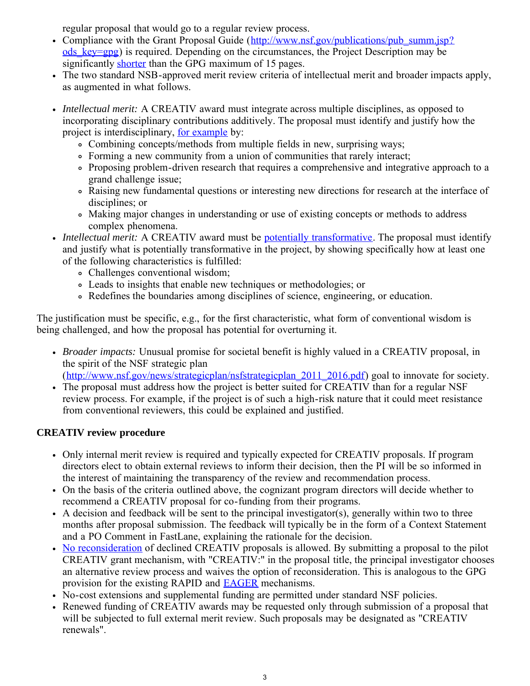regular proposal that would go to a regular review process.

- Compliance with the Grant Proposal Guide ([http://www.nsf.gov/publications/pub\\_summ.jsp?](http://www.nsf.gov/publications/pub_summ.jsp?ods_key=gpg)) ods  $key=gp$  is required. Depending on the circumstances, the Project Description may be significantly [shorter](http://www.nsf.gov/pubs/2012/nsf12012/nsf12012.jsp#hlsm) than the GPG maximum of 15 pages.
- The two standard NSB-approved merit review criteria of intellectual merit and broader impacts apply, as augmented in what follows.
- *Intellectual merit:* A CREATIV award must integrate across multiple disciplines, as opposed to incorporating disciplinary contributions additively. The proposal must identify and justify how the project is interdisciplinary, [for example](http://www.nsf.gov/pubs/2012/nsf12012/nsf12012.jsp#ftac) by:
	- Combining concepts/methods from multiple fields in new, surprising ways;
	- Forming a new community from a union of communities that rarely interact;
	- Proposing problem-driven research that requires a comprehensive and integrative approach to a grand challenge issue;
	- Raising new fundamental questions or interesting new directions for research at the interface of disciplines; or
	- Making major changes in understanding or use of existing concepts or methods to address complex phenomena.
- *Intellectual merit:* A CREATIV award must be [potentially transformative.](http://www.nsf.gov/pubs/2012/nsf12012/nsf12012.jsp#hiii) The proposal must identify and justify what is potentially transformative in the project, by showing specifically how at least one of the following characteristics is fulfilled:
	- Challenges conventional wisdom;
	- Leads to insights that enable new techniques or methodologies; or
	- Redefines the boundaries among disciplines of science, engineering, or education.

The justification must be specific, e.g., for the first characteristic, what form of conventional wisdom is being challenged, and how the proposal has potential for overturning it.

*Broader impacts:* Unusual promise for societal benefit is highly valued in a CREATIV proposal, in the spirit of the NSF strategic plan

([http://www.nsf.gov/news/strategicplan/nsfstrategicplan\\_2011\\_2016.pdf\)](http://www.nsf.gov/news/strategicplan/nsfstrategicplan_2011_2016.pdf) goal to innovate for society.

The proposal must address how the project is better suited for CREATIV than for a regular NSF review process. For example, if the project is of such a high-risk nature that it could meet resistance from conventional reviewers, this could be explained and justified.

# **CREATIV review procedure**

- Only internal merit review is required and typically expected for CREATIV proposals. If program directors elect to obtain external reviews to inform their decision, then the PI will be so informed in the interest of maintaining the transparency of the review and recommendation process.
- On the basis of the criteria outlined above, the cognizant program directors will decide whether to recommend a CREATIV proposal for co-funding from their programs.
- A decision and feedback will be sent to the principal investigator(s), generally within two to three months after proposal submission. The feedback will typically be in the form of a Context Statement and a PO Comment in FastLane, explaining the rationale for the decision.
- [No reconsideration](http://www.nsf.gov/pubs/2012/nsf12012/nsf12012.jsp#mcpw) of declined CREATIV proposals is allowed. By submitting a proposal to the pilot CREATIV grant mechanism, with "CREATIV:" in the proposal title, the principal investigator chooses an alternative review process and waives the option of reconsideration. This is analogous to the GPG provision for the existing RAPID and [EAGER](http://www.nsf.gov/pubs/2012/nsf12012/nsf12012.jsp#hdtc) mechanisms.
- No-cost extensions and supplemental funding are permitted under standard NSF policies.
- Renewed funding of CREATIV awards may be requested only through submission of a proposal that will be subjected to full external merit review. Such proposals may be designated as "CREATIV renewals".